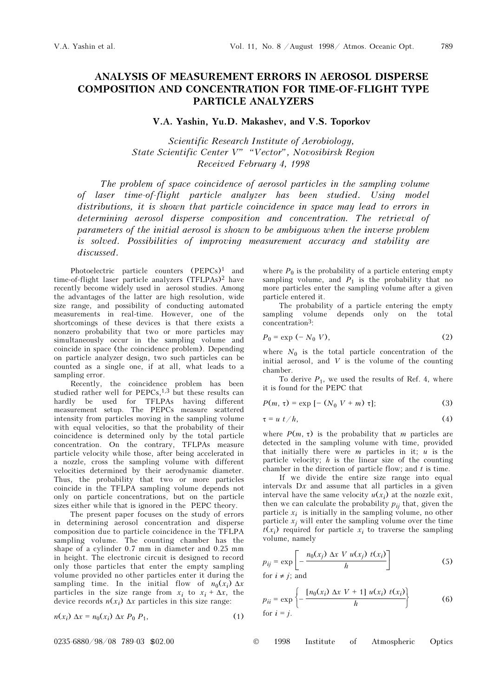789

## ANALYSIS OF MEASUREMENT ERRORS IN AEROSOL DISPERSE COMPOSITION AND CONCENTRATION FOR TIME-OF-FLIGHT TYPE PARTICLE ANALYZERS

## V.A. Yashin, Yu.D. Makashev, and V.S. Toporkov

Scientific Research Institute of Aerobiology, State Scientific Center V" "Vector", Novosibirsk Region Received February 4, 1998

The problem of space coincidence of aerosol particles in the sampling volume of laser time-of-flight particle analyzer has been studied. Using model distributions, it is shown that particle coincidence in space may lead to errors in determining aerosol disperse composition and concentration. The retrieval of parameters of the initial aerosol is shown to be ambiguous when the inverse problem is solved. Possibilities of improving measurement accuracy and stability are discussed.

Photoelectric particle counters (PEPCs)<sup>1</sup> and time-of-flight laser particle analyzers (TFLPAs)2 have recently become widely used in aerosol studies. Among the advantages of the latter are high resolution, wide size range, and possibility of conducting automated measurements in real-time. However, one of the shortcomings of these devices is that there exists a nonzero probability that two or more particles may simultaneously occur in the sampling volume and coincide in space (the coincidence problem). Depending on particle analyzer design, two such particles can be counted as a single one, if at all, what leads to a sampling error.

Recently, the coincidence problem has been studied rather well for  $PEPCs$ ,<sup>1,3</sup> but these results can hardly be used for TFLPAs having different measurement setup. The PEPCs measure scattered intensity from particles moving in the sampling volume with equal velocities, so that the probability of their coincidence is determined only by the total particle concentration. On the contrary, TFLPAs measure particle velocity while those, after being accelerated in a nozzle, cross the sampling volume with different velocities determined by their aerodynamic diameter. Thus, the probability that two or more particles coincide in the TFLPA sampling volume depends not only on particle concentrations, but on the particle sizes either while that is ignored in the PEPC theory.

The present paper focuses on the study of errors in determining aerosol concentration and disperse composition due to particle coincidence in the TFLPA sampling volume. The counting chamber has the shape of a cylinder 0.7 mm in diameter and 0.25 mm in height. The electronic circuit is designed to record only those particles that enter the empty sampling volume provided no other particles enter it during the sampling time. In the initial flow of  $n_0(x_i) \Delta x$ particles in the size range from  $x_i$  to  $x_i + \Delta x$ , the device records  $n(x_i)$   $\Delta x$  particles in this size range:

$$
n(x_i) \Delta x = n_0(x_i) \Delta x P_0 P_1,\tag{1}
$$

where  $P_0$  is the probability of a particle entering empty sampling volume, and  $P_1$  is the probability that no more particles enter the sampling volume after a given particle entered it.

The probability of a particle entering the empty sampling volume depends only on the total concentration3:

$$
P_0 = \exp(-N_0 V),\tag{2}
$$

where  $N_0$  is the total particle concentration of the initial aerosol, and  $V$  is the volume of the counting chamber.

To derive  $P_1$ , we used the results of Ref. 4, where it is found for the PEPC that

$$
P(m, \tau) = \exp\left[-\left(N_0 V + m\right)\tau\right];\tag{3}
$$

$$
\tau = u \ t / h, \tag{4}
$$

where  $P(m, \tau)$  is the probability that m particles are detected in the sampling volume with time, provided that initially there were  $m$  particles in it;  $u$  is the particle velocity;  $h$  is the linear size of the counting chamber in the direction of particle flow; and  $t$  is time.

If we divide the entire size range into equal intervals  $Dx$  and assume that all particles in a given interval have the same velocity  $u(x_i)$  at the nozzle exit, then we can calculate the probability  $p_{ii}$  that, given the particle  $x_i$  is initially in the sampling volume, no other particle  $x_i$  will enter the sampling volume over the time  $t(x_i)$  required for particle  $x_i$  to traverse the sampling volume, namely

$$
p_{ij} = \exp\left[-\frac{n_0(x_j) \Delta x \ V \ u(x_j) \ t(x_i)}{h}\right]
$$
\nfor  $i \neq j$ ; and

\n
$$
(5)
$$

$$
p_{ii} = \exp\left\{-\frac{\left[n_0(x_i) \Delta x \ V + 1\right] u(x_i) \ t(x_i)}{h}\right\} \tag{6}
$$
  
for  $i = j$ .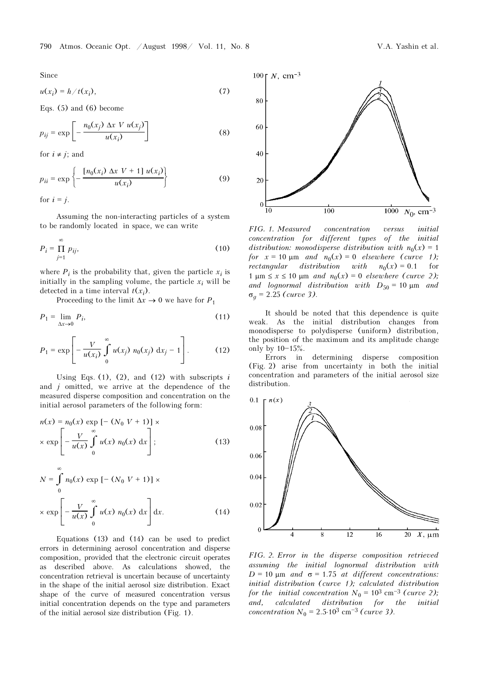Since

$$
u(x_i) = h/t(x_i), \tag{7}
$$

Eqs. (5) and (6) become

$$
p_{ij} = \exp\left[-\frac{n_0(x_j) \Delta x \ V \ u(x_j)}{u(x_i)}\right] \tag{8}
$$

for  $i \neq j$ ; and

$$
p_{ii} = \exp\left\{-\frac{[n_0(x_i) \Delta x \ V + 1] u(x_i)}{u(x_i)}\right\}
$$
(9)

for  $i = j$ .

Assuming the non-interacting particles of a system to be randomly located in space, we can write

$$
P_i = \prod_{j=1}^{\infty} p_{ij},\tag{10}
$$

where  $P_i$  is the probability that, given the particle  $x_i$  is initially in the sampling volume, the particle  $x_i$  will be detected in a time interval  $t(x_i)$ .

Proceeding to the limit  $\Delta x \rightarrow 0$  we have for  $P_1$ 

$$
P_1 = \lim_{\Delta x \to 0} P_i,\tag{11}
$$

$$
P_1 = \exp\left[-\frac{V}{u(x_i)}\int_{0}^{\infty} u(x_j) \; n_0(x_j) \; \mathrm{d}x_j - 1\right]. \tag{12}
$$

Using Eqs.  $(1)$ ,  $(2)$ , and  $(12)$  with subscripts i and  $j$  omitted, we arrive at the dependence of the measured disperse composition and concentration on the initial aerosol parameters of the following form:

$$
n(x) = n_0(x) \exp\left[-\left(N_0 V + 1\right)\right] \times
$$
  
 
$$
\times \exp\left[-\frac{V}{u(x)} \int_{0}^{\infty} u(x) n_0(x) dx\right];
$$
 (13)

$$
N = \int_{0}^{\infty} n_0(x) \exp\left[-\left(N_0 V + 1\right)\right] \times
$$
  
 
$$
\times \exp\left[-\frac{V}{u(x)} \int_{0}^{\infty} u(x) n_0(x) dx\right] dx.
$$
 (14)

Equations (13) and (14) can be used to predict errors in determining aerosol concentration and disperse composition, provided that the electronic circuit operates as described above. As calculations showed, the concentration retrieval is uncertain because of uncertainty in the shape of the initial aerosol size distribution. Exact shape of the curve of measured concentration versus initial concentration depends on the type and parameters of the initial aerosol size distribution (Fig. 1).



FIG. 1. Measured concentration versus initial concentration for different types of the initial distribution: monodisperse distribution with  $n_0(x) = 1$ for  $x = 10 \text{ µm}$  and  $n_0(x) = 0$  elsewhere (curve 1); rectangular distribution with  $n_0(x) = 0.1$  for 1 μm  $\leq$  x  $\leq$  10 μm *and*  $n_0(x) = 0$  elsewhere (curve 2); and lognormal distribution with  $D_{50} = 10 \text{ }\mu\text{m}$  and  $\sigma_g$  = 2.25 (curve 3).

It should be noted that this dependence is quite weak. As the initial distribution changes from monodisperse to polydisperse (uniform) distribution, the position of the maximum and its amplitude change only by  $10-15%$ .

Errors in determining disperse composition (Fig. 2) arise from uncertainty in both the initial concentration and parameters of the initial aerosol size distribution.



FIG. 2. Error in the disperse composition retrieved assuming the initial lognormal distribution with  $D = 10 \mu m$  and  $\sigma = 1.75$  at different concentrations: initial distribution (curve 1); calculated distribution for the initial concentration  $N_0 = 10^3$  cm<sup>-3</sup> (curve 2); and, calculated distribution for the initial concentration  $N_0 = 2.5 \cdot 10^3 \text{ cm}^{-3}$  (curve 3).